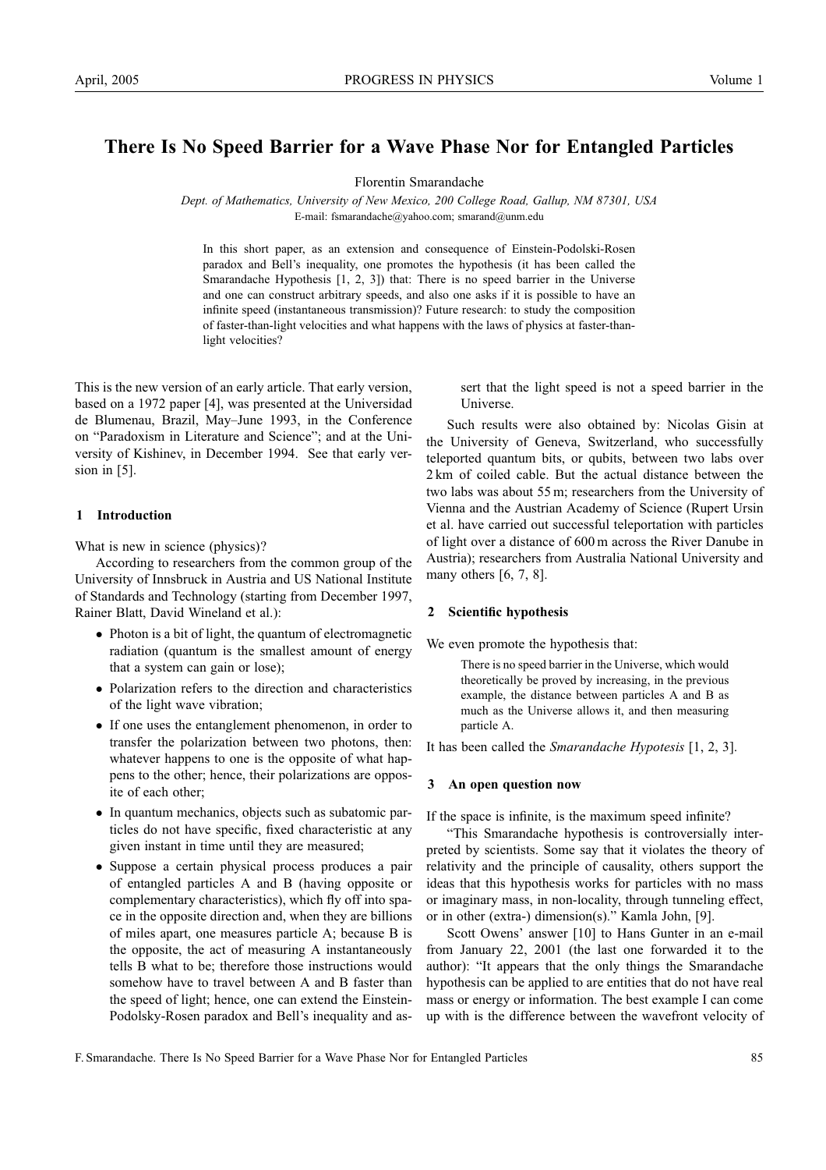# **There Is No Speed Barrier for a Wave Phase Nor for Entangled Particles**

Florentin Smarandache

*Dept. of Mathematics, University of New Mexico, 200 College Road, Gallup, NM 87301, USA* E-mail: fsmarandache@yahoo.com; smarand@unm.edu

In this short paper, as an extension and consequence of Einstein-Podolski-Rosen paradox and Bell's inequality, one promotes the hypothesis (it has been called the Smarandache Hypothesis [1, 2, 3]) that: There is no speed barrier in the Universe and one can construct arbitrary speeds, and also one asks if it is possible to have an infinite speed (instantaneous transmission)? Future research: to study the composition of faster-than-light velocities and what happens with the laws of physics at faster-thanlight velocities?

This is the new version of an early article. That early version, based on a 1972 paper [4], was presented at the Universidad de Blumenau, Brazil, May–June 1993, in the Conference on "Paradoxism in Literature and Science"; and at the University of Kishinev, in December 1994. See that early version in  $[5]$ .

### **1 Introduction**

What is new in science (physics)?

According to researchers from the common group of the University of Innsbruck in Austria and US National Institute of Standards and Technology (starting from December 1997, Rainer Blatt, David Wineland et al.):

- Photon is a bit of light, the quantum of electromagnetic radiation (quantum is the smallest amount of energy that a system can gain or lose);
- Polarization refers to the direction and characteristics of the light wave vibration;
- If one uses the entanglement phenomenon, in order to transfer the polarization between two photons, then: whatever happens to one is the opposite of what happens to the other; hence, their polarizations are opposite of each other;
- In quantum mechanics, objects such as subatomic particles do not have specific, fixed characteristic at any given instant in time until they are measured;
- Suppose a certain physical process produces a pair of entangled particles A and B (having opposite or complementary characteristics), which fly off into space in the opposite direction and, when they are billions of miles apart, one measures particle A; because B is the opposite, the act of measuring A instantaneously tells B what to be; therefore those instructions would somehow have to travel between A and B faster than the speed of light; hence, one can extend the Einstein-Podolsky-Rosen paradox and Bell's inequality and as-

sert that the light speed is not a speed barrier in the Universe.

Such results were also obtained by: Nicolas Gisin at the University of Geneva, Switzerland, who successfully teleported quantum bits, or qubits, between two labs over 2 km of coiled cable. But the actual distance between the two labs was about 55 m; researchers from the University of Vienna and the Austrian Academy of Science (Rupert Ursin et al. have carried out successful teleportation with particles of light over a distance of 600 m across the River Danube in Austria); researchers from Australia National University and many others [6, 7, 8].

# **2 Scientific hypothesis**

We even promote the hypothesis that:

There is no speed barrier in the Universe, which would theoretically be proved by increasing, in the previous example, the distance between particles A and B as much as the Universe allows it, and then measuring particle A.

It has been called the *Smarandache Hypotesis* [1, 2, 3].

# **3 An open question now**

If the space is infinite, is the maximum speed infinite?

"This Smarandache hypothesis is controversially interpreted by scientists. Some say that it violates the theory of relativity and the principle of causality, others support the ideas that this hypothesis works for particles with no mass or imaginary mass, in non-locality, through tunneling effect, or in other (extra-) dimension(s)." Kamla John, [9].

Scott Owens' answer [10] to Hans Gunter in an e-mail from January 22, 2001 (the last one forwarded it to the author): "It appears that the only things the Smarandache hypothesis can be applied to are entities that do not have real mass or energy or information. The best example I can come up with is the difference between the wavefront velocity of

F. Smarandache. There Is No Speed Barrier for a Wave Phase Nor for Entangled Particles 85